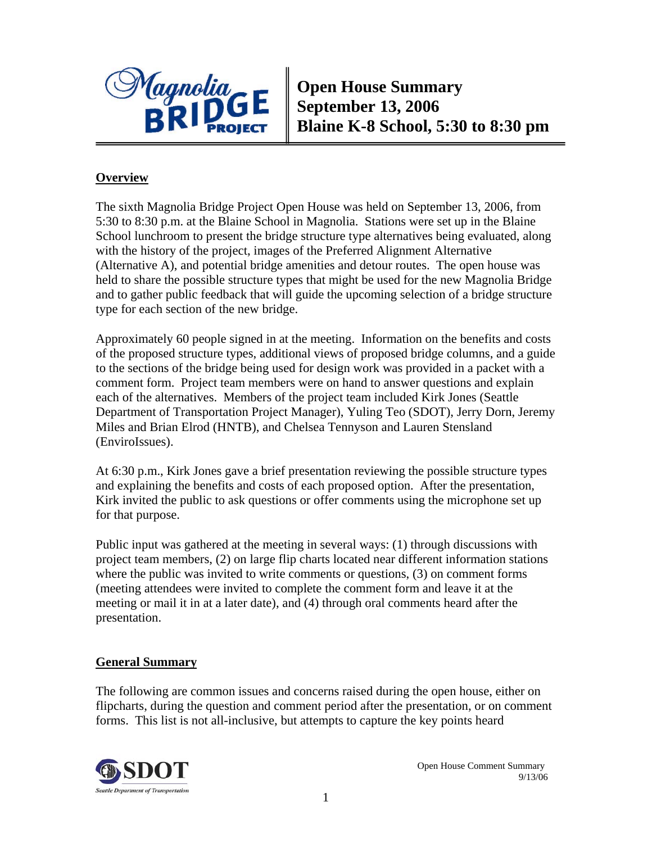

**Open House Summary September 13, 2006 Blaine K-8 School, 5:30 to 8:30 pm** 

### **Overview**

The sixth Magnolia Bridge Project Open House was held on September 13, 2006, from 5:30 to 8:30 p.m. at the Blaine School in Magnolia. Stations were set up in the Blaine School lunchroom to present the bridge structure type alternatives being evaluated, along with the history of the project, images of the Preferred Alignment Alternative (Alternative A), and potential bridge amenities and detour routes. The open house was held to share the possible structure types that might be used for the new Magnolia Bridge and to gather public feedback that will guide the upcoming selection of a bridge structure type for each section of the new bridge.

Approximately 60 people signed in at the meeting. Information on the benefits and costs of the proposed structure types, additional views of proposed bridge columns, and a guide to the sections of the bridge being used for design work was provided in a packet with a comment form. Project team members were on hand to answer questions and explain each of the alternatives. Members of the project team included Kirk Jones (Seattle Department of Transportation Project Manager), Yuling Teo (SDOT), Jerry Dorn, Jeremy Miles and Brian Elrod (HNTB), and Chelsea Tennyson and Lauren Stensland (EnviroIssues).

At 6:30 p.m., Kirk Jones gave a brief presentation reviewing the possible structure types and explaining the benefits and costs of each proposed option. After the presentation, Kirk invited the public to ask questions or offer comments using the microphone set up for that purpose.

Public input was gathered at the meeting in several ways: (1) through discussions with project team members, (2) on large flip charts located near different information stations where the public was invited to write comments or questions,  $(3)$  on comment forms (meeting attendees were invited to complete the comment form and leave it at the meeting or mail it in at a later date), and (4) through oral comments heard after the presentation.

#### **General Summary**

The following are common issues and concerns raised during the open house, either on flipcharts, during the question and comment period after the presentation, or on comment forms. This list is not all-inclusive, but attempts to capture the key points heard

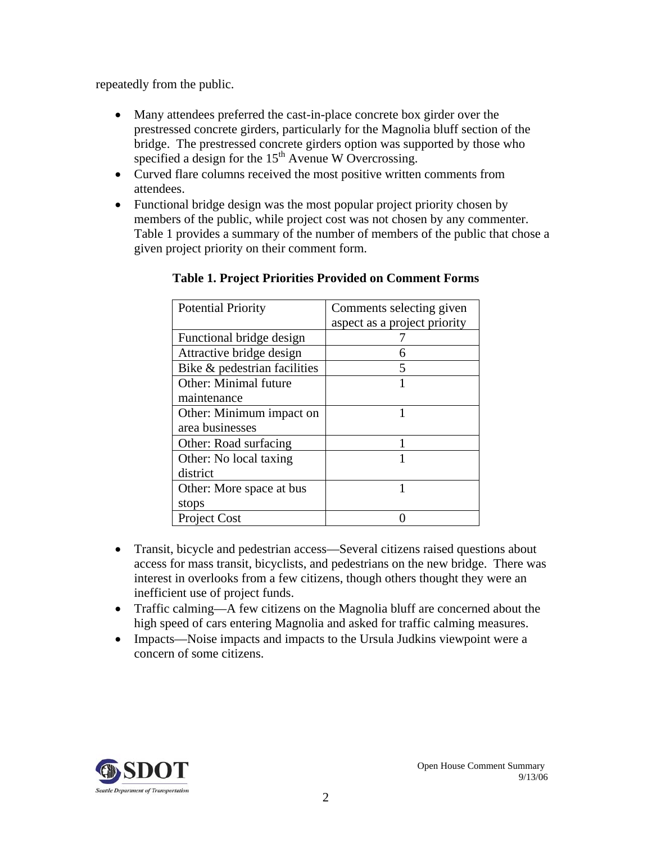repeatedly from the public.

- Many attendees preferred the cast-in-place concrete box girder over the prestressed concrete girders, particularly for the Magnolia bluff section of the bridge. The prestressed concrete girders option was supported by those who specified a design for the  $15<sup>th</sup>$  Avenue W Overcrossing.
- Curved flare columns received the most positive written comments from attendees.
- Functional bridge design was the most popular project priority chosen by members of the public, while project cost was not chosen by any commenter. Table 1 provides a summary of the number of members of the public that chose a given project priority on their comment form.

| <b>Potential Priority</b>    | Comments selecting given     |
|------------------------------|------------------------------|
|                              | aspect as a project priority |
| Functional bridge design     |                              |
| Attractive bridge design     | 6                            |
| Bike & pedestrian facilities | 5                            |
| <b>Other: Minimal future</b> |                              |
| maintenance                  |                              |
| Other: Minimum impact on     |                              |
| area businesses              |                              |
| Other: Road surfacing        |                              |
| Other: No local taxing       |                              |
| district                     |                              |
| Other: More space at bus     |                              |
| stops                        |                              |
| <b>Project Cost</b>          |                              |

### **Table 1. Project Priorities Provided on Comment Forms**

- Transit, bicycle and pedestrian access—Several citizens raised questions about access for mass transit, bicyclists, and pedestrians on the new bridge. There was interest in overlooks from a few citizens, though others thought they were an inefficient use of project funds.
- Traffic calming—A few citizens on the Magnolia bluff are concerned about the high speed of cars entering Magnolia and asked for traffic calming measures.
- Impacts—Noise impacts and impacts to the Ursula Judkins viewpoint were a concern of some citizens.

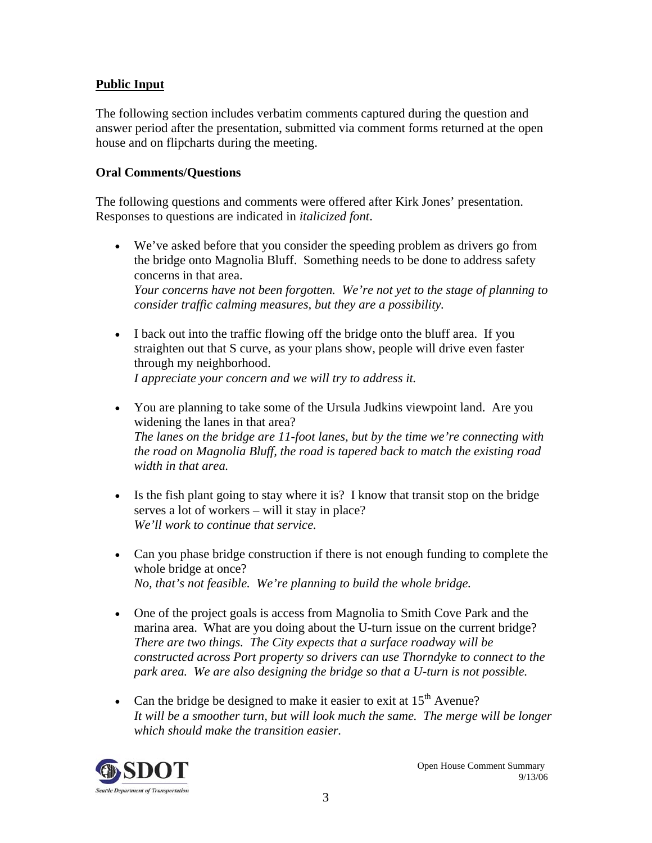### **Public Input**

The following section includes verbatim comments captured during the question and answer period after the presentation, submitted via comment forms returned at the open house and on flipcharts during the meeting.

#### **Oral Comments/Questions**

The following questions and comments were offered after Kirk Jones' presentation. Responses to questions are indicated in *italicized font*.

- We've asked before that you consider the speeding problem as drivers go from the bridge onto Magnolia Bluff. Something needs to be done to address safety concerns in that area. *Your concerns have not been forgotten. We're not yet to the stage of planning to consider traffic calming measures, but they are a possibility.*
- I back out into the traffic flowing off the bridge onto the bluff area. If you straighten out that S curve, as your plans show, people will drive even faster through my neighborhood. *I appreciate your concern and we will try to address it.*
- You are planning to take some of the Ursula Judkins viewpoint land. Are you widening the lanes in that area? *The lanes on the bridge are 11-foot lanes, but by the time we're connecting with the road on Magnolia Bluff, the road is tapered back to match the existing road width in that area.*
- Is the fish plant going to stay where it is? I know that transit stop on the bridge serves a lot of workers – will it stay in place? *We'll work to continue that service.*
- Can you phase bridge construction if there is not enough funding to complete the whole bridge at once? *No, that's not feasible. We're planning to build the whole bridge.*
- One of the project goals is access from Magnolia to Smith Cove Park and the marina area. What are you doing about the U-turn issue on the current bridge? *There are two things. The City expects that a surface roadway will be constructed across Port property so drivers can use Thorndyke to connect to the park area. We are also designing the bridge so that a U-turn is not possible.*
- Can the bridge be designed to make it easier to exit at  $15<sup>th</sup>$  Avenue? *It will be a smoother turn, but will look much the same. The merge will be longer which should make the transition easier.*

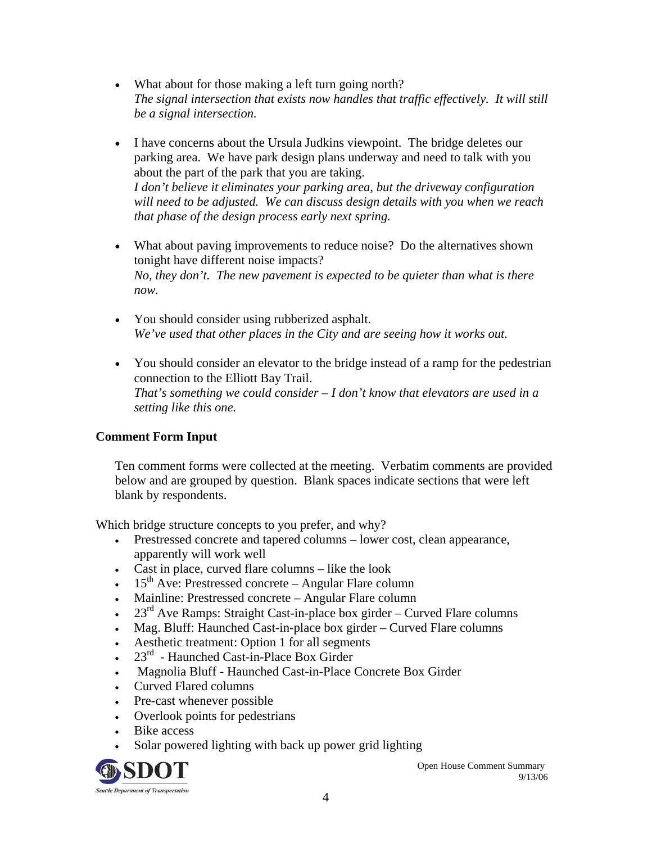- What about for those making a left turn going north? *The signal intersection that exists now handles that traffic effectively. It will still be a signal intersection.*
- I have concerns about the Ursula Judkins viewpoint. The bridge deletes our parking area. We have park design plans underway and need to talk with you about the part of the park that you are taking. *I don't believe it eliminates your parking area, but the driveway configuration will need to be adjusted. We can discuss design details with you when we reach that phase of the design process early next spring.*
- What about paving improvements to reduce noise? Do the alternatives shown tonight have different noise impacts? *No, they don't. The new pavement is expected to be quieter than what is there now.*
- You should consider using rubberized asphalt. *We've used that other places in the City and are seeing how it works out.*
- You should consider an elevator to the bridge instead of a ramp for the pedestrian connection to the Elliott Bay Trail. *That's something we could consider – I don't know that elevators are used in a setting like this one.*

# **Comment Form Input**

Ten comment forms were collected at the meeting. Verbatim comments are provided below and are grouped by question. Blank spaces indicate sections that were left blank by respondents.

Which bridge structure concepts to you prefer, and why?

- Prestressed concrete and tapered columns lower cost, clean appearance, apparently will work well
- Cast in place, curved flare columns like the look
- $15<sup>th</sup>$  Ave: Prestressed concrete Angular Flare column
- Mainline: Prestressed concrete Angular Flare column
- 23 $^{rd}$  Ave Ramps: Straight Cast-in-place box girder Curved Flare columns
- Mag. Bluff: Haunched Cast-in-place box girder Curved Flare columns
- Aesthetic treatment: Option 1 for all segments
- $23<sup>rd</sup>$  Haunched Cast-in-Place Box Girder
- Magnolia Bluff Haunched Cast-in-Place Concrete Box Girder
- Curved Flared columns
- Pre-cast whenever possible
- Overlook points for pedestrians
- Bike access
- Solar powered lighting with back up power grid lighting



Open House Comment Summary 9/13/06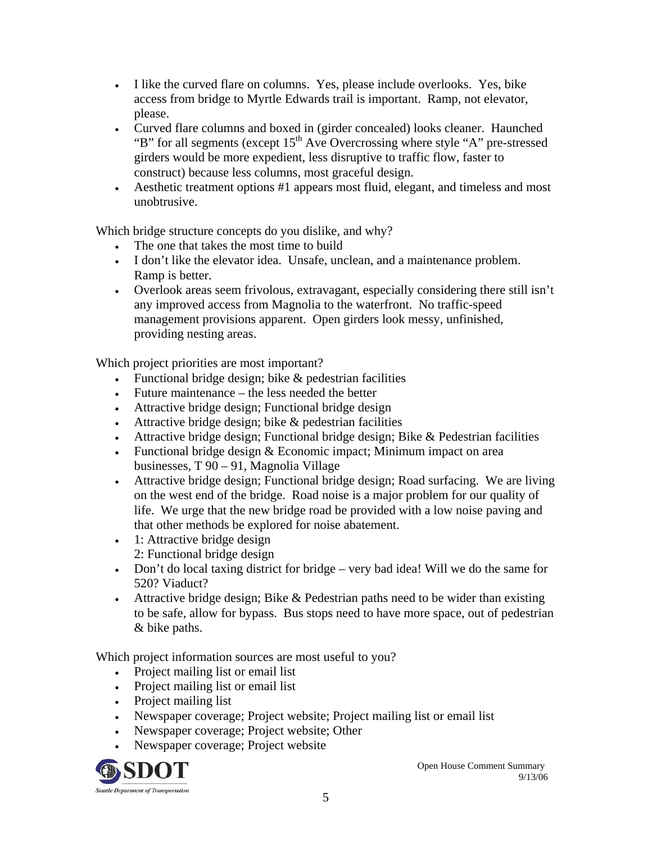- I like the curved flare on columns. Yes, please include overlooks. Yes, bike access from bridge to Myrtle Edwards trail is important. Ramp, not elevator, please.
- Curved flare columns and boxed in (girder concealed) looks cleaner. Haunched "B" for all segments (except  $15<sup>th</sup>$  Ave Overcrossing where style "A" pre-stressed girders would be more expedient, less disruptive to traffic flow, faster to construct) because less columns, most graceful design.
- Aesthetic treatment options #1 appears most fluid, elegant, and timeless and most unobtrusive.

Which bridge structure concepts do you dislike, and why?

- The one that takes the most time to build
- I don't like the elevator idea. Unsafe, unclean, and a maintenance problem. Ramp is better.
- Overlook areas seem frivolous, extravagant, especially considering there still isn't any improved access from Magnolia to the waterfront. No traffic-speed management provisions apparent. Open girders look messy, unfinished, providing nesting areas.

Which project priorities are most important?

- Functional bridge design; bike & pedestrian facilities
- Future maintenance the less needed the better
- Attractive bridge design; Functional bridge design
- Attractive bridge design; bike & pedestrian facilities
- Attractive bridge design; Functional bridge design; Bike  $&$  Pedestrian facilities
- Functional bridge design & Economic impact; Minimum impact on area businesses, T 90 – 91, Magnolia Village
- Attractive bridge design; Functional bridge design; Road surfacing. We are living on the west end of the bridge. Road noise is a major problem for our quality of life. We urge that the new bridge road be provided with a low noise paving and that other methods be explored for noise abatement.
- 1: Attractive bridge design 2: Functional bridge design
- Don't do local taxing district for bridge very bad idea! Will we do the same for 520? Viaduct?
- Attractive bridge design; Bike  $&$  Pedestrian paths need to be wider than existing to be safe, allow for bypass. Bus stops need to have more space, out of pedestrian & bike paths.

Which project information sources are most useful to you?

- Project mailing list or email list
- Project mailing list or email list
- Project mailing list
- Newspaper coverage; Project website; Project mailing list or email list
- Newspaper coverage; Project website; Other
- Newspaper coverage; Project website



Open House Comment Summary 9/13/06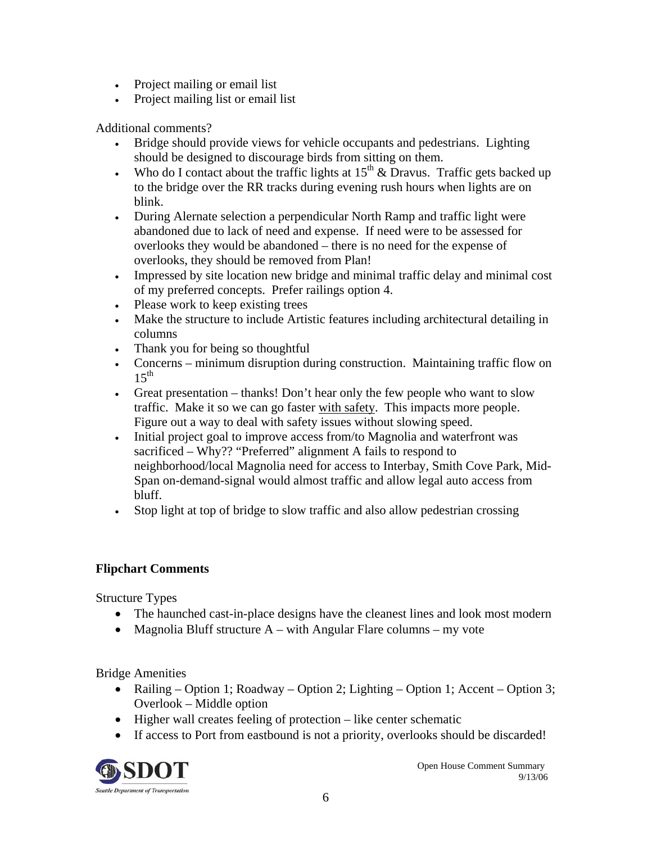- Project mailing or email list
- Project mailing list or email list

Additional comments?

- Bridge should provide views for vehicle occupants and pedestrians. Lighting should be designed to discourage birds from sitting on them.
- Who do I contact about the traffic lights at  $15<sup>th</sup>$  & Dravus. Traffic gets backed up to the bridge over the RR tracks during evening rush hours when lights are on blink.
- During Alernate selection a perpendicular North Ramp and traffic light were abandoned due to lack of need and expense. If need were to be assessed for overlooks they would be abandoned – there is no need for the expense of overlooks, they should be removed from Plan!
- Impressed by site location new bridge and minimal traffic delay and minimal cost of my preferred concepts. Prefer railings option 4.
- Please work to keep existing trees
- Make the structure to include Artistic features including architectural detailing in columns
- Thank you for being so thoughtful
- Concerns minimum disruption during construction. Maintaining traffic flow on  $15<sup>th</sup>$
- Great presentation thanks! Don't hear only the few people who want to slow traffic. Make it so we can go faster with safety. This impacts more people. Figure out a way to deal with safety issues without slowing speed.
- Initial project goal to improve access from/to Magnolia and waterfront was sacrificed – Why?? "Preferred" alignment A fails to respond to neighborhood/local Magnolia need for access to Interbay, Smith Cove Park, Mid-Span on-demand-signal would almost traffic and allow legal auto access from bluff.
- Stop light at top of bridge to slow traffic and also allow pedestrian crossing

# **Flipchart Comments**

Structure Types

- The haunched cast-in-place designs have the cleanest lines and look most modern
- Magnolia Bluff structure  $A \text{with Angular Flare columns} \text{my vote}$

Bridge Amenities

- Railing Option 1; Roadway Option 2; Lighting Option 1; Accent Option 3; Overlook – Middle option
- Higher wall creates feeling of protection like center schematic
- If access to Port from eastbound is not a priority, overlooks should be discarded!



Open House Comment Summary 9/13/06